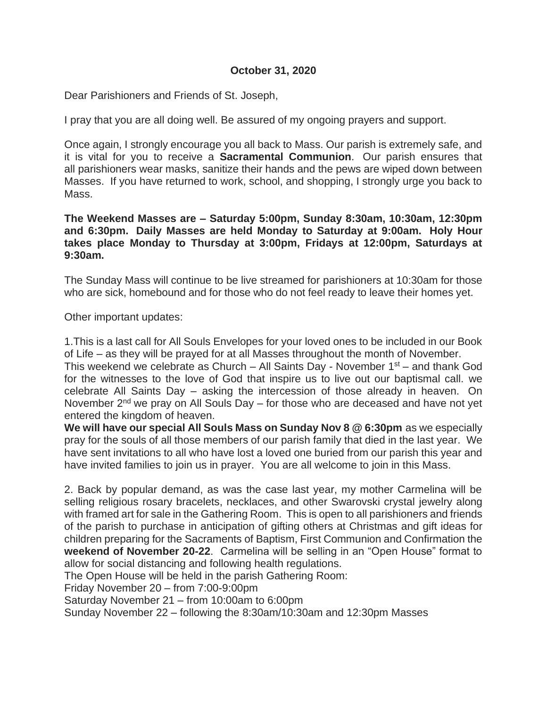## **October 31, 2020**

Dear Parishioners and Friends of St. Joseph,

I pray that you are all doing well. Be assured of my ongoing prayers and support.

Once again, I strongly encourage you all back to Mass. Our parish is extremely safe, and it is vital for you to receive a **Sacramental Communion**. Our parish ensures that all parishioners wear masks, sanitize their hands and the pews are wiped down between Masses. If you have returned to work, school, and shopping, I strongly urge you back to Mass.

**The Weekend Masses are – Saturday 5:00pm, Sunday 8:30am, 10:30am, 12:30pm and 6:30pm. Daily Masses are held Monday to Saturday at 9:00am. Holy Hour takes place Monday to Thursday at 3:00pm, Fridays at 12:00pm, Saturdays at 9:30am.**

The Sunday Mass will continue to be live streamed for parishioners at 10:30am for those who are sick, homebound and for those who do not feel ready to leave their homes yet.

Other important updates:

1.This is a last call for All Souls Envelopes for your loved ones to be included in our Book of Life – as they will be prayed for at all Masses throughout the month of November.

This weekend we celebrate as Church – All Saints Day - November  $1<sup>st</sup>$  – and thank God for the witnesses to the love of God that inspire us to live out our baptismal call. we celebrate All Saints Day – asking the intercession of those already in heaven. On November 2<sup>nd</sup> we pray on All Souls Day – for those who are deceased and have not yet entered the kingdom of heaven.

**We will have our special All Souls Mass on Sunday Nov 8 @ 6:30pm** as we especially pray for the souls of all those members of our parish family that died in the last year. We have sent invitations to all who have lost a loved one buried from our parish this year and have invited families to join us in prayer. You are all welcome to join in this Mass.

2. Back by popular demand, as was the case last year, my mother Carmelina will be selling religious rosary bracelets, necklaces, and other Swarovski crystal jewelry along with framed art for sale in the Gathering Room. This is open to all parishioners and friends of the parish to purchase in anticipation of gifting others at Christmas and gift ideas for children preparing for the Sacraments of Baptism, First Communion and Confirmation the **weekend of November 20-22**. Carmelina will be selling in an "Open House" format to allow for social distancing and following health regulations.

The Open House will be held in the parish Gathering Room:

Friday November 20 – from 7:00-9:00pm

Saturday November 21 – from 10:00am to 6:00pm

Sunday November 22 – following the 8:30am/10:30am and 12:30pm Masses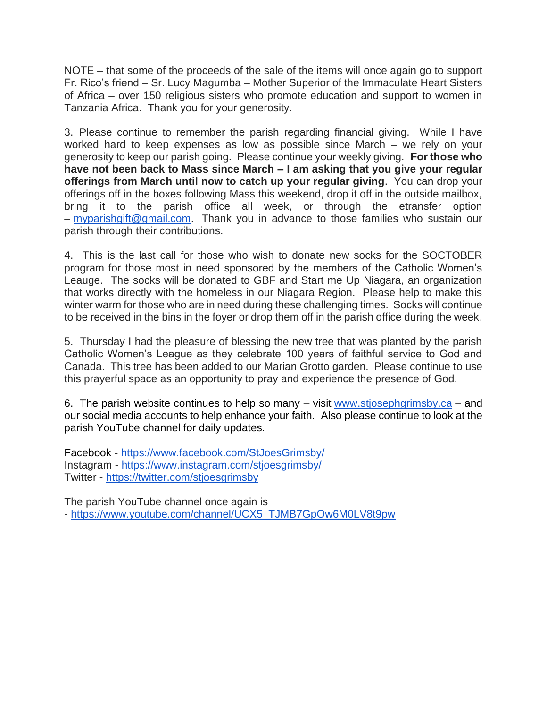NOTE – that some of the proceeds of the sale of the items will once again go to support Fr. Rico's friend – Sr. Lucy Magumba – Mother Superior of the Immaculate Heart Sisters of Africa – over 150 religious sisters who promote education and support to women in Tanzania Africa. Thank you for your generosity.

3. Please continue to remember the parish regarding financial giving. While I have worked hard to keep expenses as low as possible since March – we rely on your generosity to keep our parish going. Please continue your weekly giving. **For those who have not been back to Mass since March – I am asking that you give your regular offerings from March until now to catch up your regular giving**. You can drop your offerings off in the boxes following Mass this weekend, drop it off in the outside mailbox, bring it to the parish office all week, or through the etransfer option – [myparishgift@gmail.com.](mailto:myparishgift@gmail.com) Thank you in advance to those families who sustain our parish through their contributions.

4. This is the last call for those who wish to donate new socks for the SOCTOBER program for those most in need sponsored by the members of the Catholic Women's Leauge. The socks will be donated to GBF and Start me Up Niagara, an organization that works directly with the homeless in our Niagara Region. Please help to make this winter warm for those who are in need during these challenging times. Socks will continue to be received in the bins in the foyer or drop them off in the parish office during the week.

5. Thursday I had the pleasure of blessing the new tree that was planted by the parish Catholic Women's League as they celebrate 100 years of faithful service to God and Canada. This tree has been added to our Marian Grotto garden. Please continue to use this prayerful space as an opportunity to pray and experience the presence of God.

6. The parish website continues to help so many  $-$  visit [www.stjosephgrimsby.ca](http://www.stjosephgrimsby.ca/)  $-$  and our social media accounts to help enhance your faith. Also please continue to look at the parish YouTube channel for daily updates.

Facebook - <https://www.facebook.com/StJoesGrimsby/> Instagram - <https://www.instagram.com/stjoesgrimsby/> Twitter - <https://twitter.com/stjoesgrimsby>

The parish YouTube channel once again is - [https://www.youtube.com/channel/UCX5\\_TJMB7GpOw6M0LV8t9pw](https://www.youtube.com/channel/UCX5_TJMB7GpOw6M0LV8t9pw)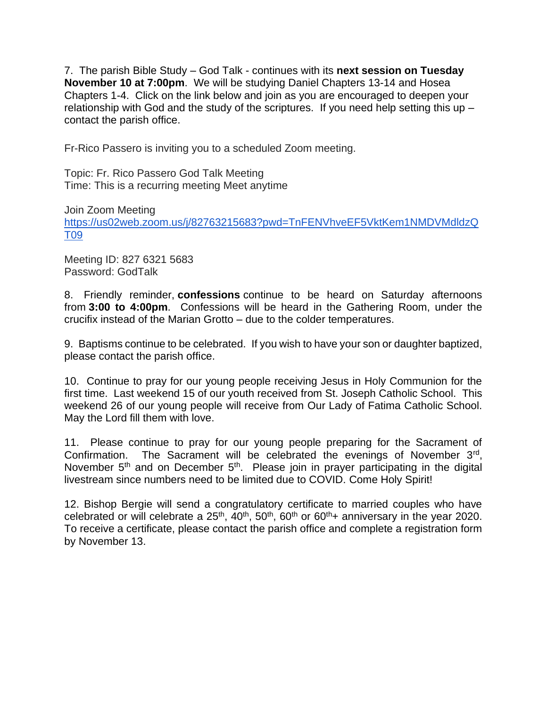7. The parish Bible Study – God Talk - continues with its **next session on Tuesday November 10 at 7:00pm**. We will be studying Daniel Chapters 13-14 and Hosea Chapters 1-4. Click on the link below and join as you are encouraged to deepen your relationship with God and the study of the scriptures. If you need help setting this up – contact the parish office.

Fr-Rico Passero is inviting you to a scheduled Zoom meeting.

Topic: Fr. Rico Passero God Talk Meeting Time: This is a recurring meeting Meet anytime

Join Zoom Meeting

[https://us02web.zoom.us/j/82763215683?pwd=TnFENVhveEF5VktKem1NMDVMdldzQ](https://us02web.zoom.us/j/82763215683?pwd=TnFENVhveEF5VktKem1NMDVMdldzQT09) [T09](https://us02web.zoom.us/j/82763215683?pwd=TnFENVhveEF5VktKem1NMDVMdldzQT09)

Meeting ID: 827 6321 5683 Password: GodTalk

8. Friendly reminder, **confessions** continue to be heard on Saturday afternoons from **3:00 to 4:00pm**. Confessions will be heard in the Gathering Room, under the crucifix instead of the Marian Grotto – due to the colder temperatures.

9. Baptisms continue to be celebrated. If you wish to have your son or daughter baptized, please contact the parish office.

10. Continue to pray for our young people receiving Jesus in Holy Communion for the first time. Last weekend 15 of our youth received from St. Joseph Catholic School. This weekend 26 of our young people will receive from Our Lady of Fatima Catholic School. May the Lord fill them with love.

11. Please continue to pray for our young people preparing for the Sacrament of Confirmation. The Sacrament will be celebrated the evenings of November 3rd, November  $5<sup>th</sup>$  and on December  $5<sup>th</sup>$ . Please join in prayer participating in the digital livestream since numbers need to be limited due to COVID. Come Holy Spirit!

12. Bishop Bergie will send a congratulatory certificate to married couples who have celebrated or will celebrate a  $25<sup>th</sup>$ ,  $40<sup>th</sup>$ ,  $50<sup>th</sup>$ ,  $60<sup>th</sup>$  or  $60<sup>th</sup>$  + anniversary in the year 2020. To receive a certificate, please contact the parish office and complete a registration form by November 13.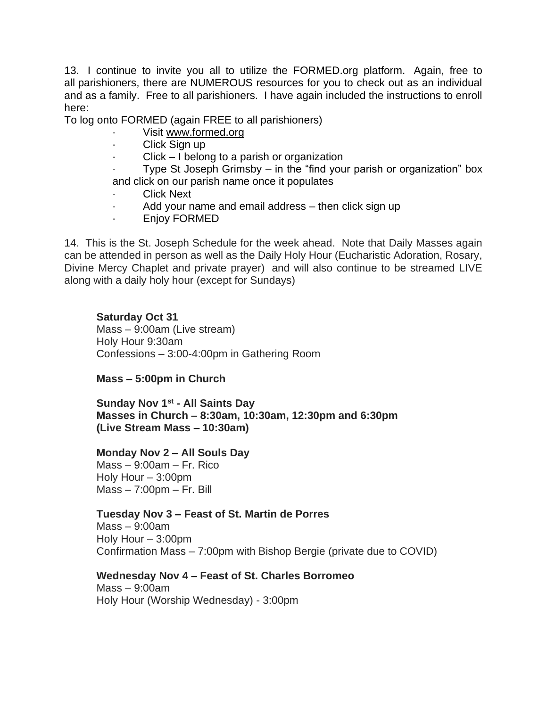13. I continue to invite you all to utilize the FORMED.org platform. Again, free to all parishioners, there are NUMEROUS resources for you to check out as an individual and as a family. Free to all parishioners. I have again included the instructions to enroll here:

To log onto FORMED (again FREE to all parishioners)

- Visit [www.formed.org](http://www.formed.org/)
- Click Sign up
- $Click I belong to a parish or organization$

Type St Joseph Grimsby – in the "find your parish or organization" box and click on our parish name once it populates

- **Click Next**
- Add your name and email address then click sign up
- · Enjoy FORMED

14. This is the St. Joseph Schedule for the week ahead. Note that Daily Masses again can be attended in person as well as the Daily Holy Hour (Eucharistic Adoration, Rosary, Divine Mercy Chaplet and private prayer) and will also continue to be streamed LIVE along with a daily holy hour (except for Sundays)

## **Saturday Oct 31**

Mass – 9:00am (Live stream) Holy Hour 9:30am Confessions – 3:00-4:00pm in Gathering Room

## **Mass – 5:00pm in Church**

**Sunday Nov 1st - All Saints Day Masses in Church – 8:30am, 10:30am, 12:30pm and 6:30pm (Live Stream Mass – 10:30am)**

## **Monday Nov 2 – All Souls Day**

Mass – 9:00am – Fr. Rico Holy Hour – 3:00pm  $Mass - 7:00 \text{pm} - Fr$ . Bill

# **Tuesday Nov 3 – Feast of St. Martin de Porres**

Mass – 9:00am Holy Hour – 3:00pm Confirmation Mass – 7:00pm with Bishop Bergie (private due to COVID)

# **Wednesday Nov 4 – Feast of St. Charles Borromeo**

Mass – 9:00am Holy Hour (Worship Wednesday) - 3:00pm